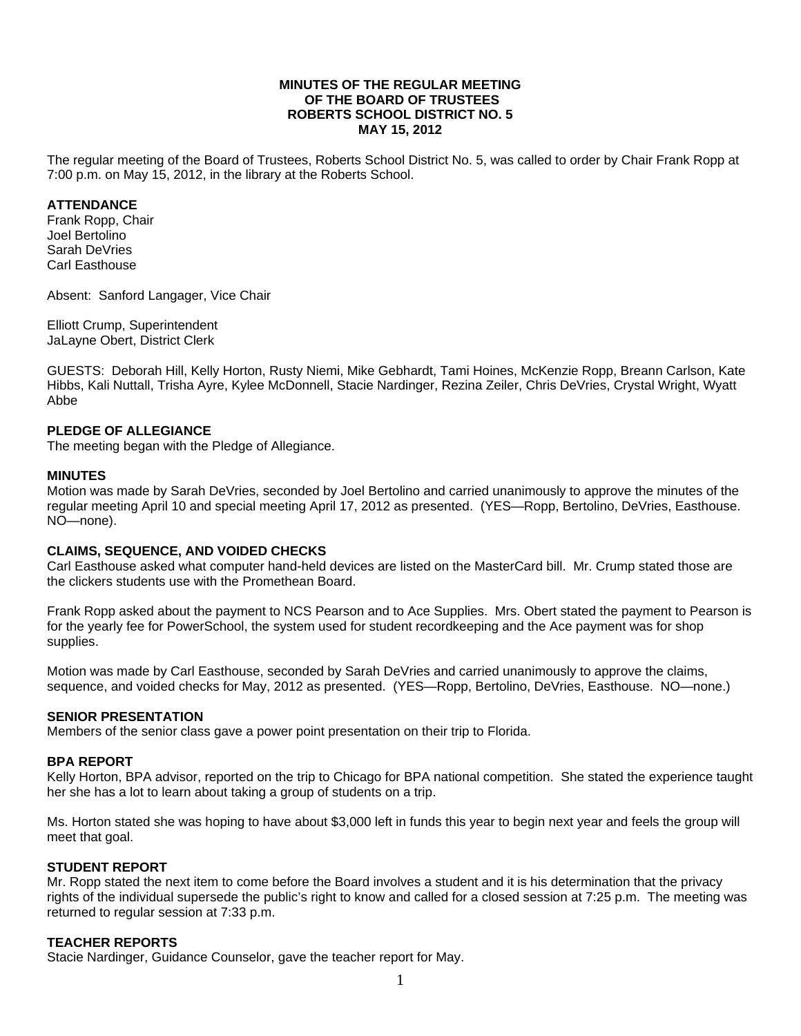### **MINUTES OF THE REGULAR MEETING OF THE BOARD OF TRUSTEES ROBERTS SCHOOL DISTRICT NO. 5 MAY 15, 2012**

The regular meeting of the Board of Trustees, Roberts School District No. 5, was called to order by Chair Frank Ropp at 7:00 p.m. on May 15, 2012, in the library at the Roberts School.

### **ATTENDANCE**

Frank Ropp, Chair Joel Bertolino Sarah DeVries Carl Easthouse

Absent: Sanford Langager, Vice Chair

Elliott Crump, Superintendent JaLayne Obert, District Clerk

GUESTS: Deborah Hill, Kelly Horton, Rusty Niemi, Mike Gebhardt, Tami Hoines, McKenzie Ropp, Breann Carlson, Kate Hibbs, Kali Nuttall, Trisha Ayre, Kylee McDonnell, Stacie Nardinger, Rezina Zeiler, Chris DeVries, Crystal Wright, Wyatt Abbe

## **PLEDGE OF ALLEGIANCE**

The meeting began with the Pledge of Allegiance.

### **MINUTES**

Motion was made by Sarah DeVries, seconded by Joel Bertolino and carried unanimously to approve the minutes of the regular meeting April 10 and special meeting April 17, 2012 as presented. (YES—Ropp, Bertolino, DeVries, Easthouse. NO—none).

### **CLAIMS, SEQUENCE, AND VOIDED CHECKS**

Carl Easthouse asked what computer hand-held devices are listed on the MasterCard bill. Mr. Crump stated those are the clickers students use with the Promethean Board.

Frank Ropp asked about the payment to NCS Pearson and to Ace Supplies. Mrs. Obert stated the payment to Pearson is for the yearly fee for PowerSchool, the system used for student recordkeeping and the Ace payment was for shop supplies.

Motion was made by Carl Easthouse, seconded by Sarah DeVries and carried unanimously to approve the claims, sequence, and voided checks for May, 2012 as presented. (YES—Ropp, Bertolino, DeVries, Easthouse. NO—none.)

## **SENIOR PRESENTATION**

Members of the senior class gave a power point presentation on their trip to Florida.

### **BPA REPORT**

Kelly Horton, BPA advisor, reported on the trip to Chicago for BPA national competition. She stated the experience taught her she has a lot to learn about taking a group of students on a trip.

Ms. Horton stated she was hoping to have about \$3,000 left in funds this year to begin next year and feels the group will meet that goal.

### **STUDENT REPORT**

Mr. Ropp stated the next item to come before the Board involves a student and it is his determination that the privacy rights of the individual supersede the public's right to know and called for a closed session at 7:25 p.m. The meeting was returned to regular session at 7:33 p.m.

### **TEACHER REPORTS**

Stacie Nardinger, Guidance Counselor, gave the teacher report for May.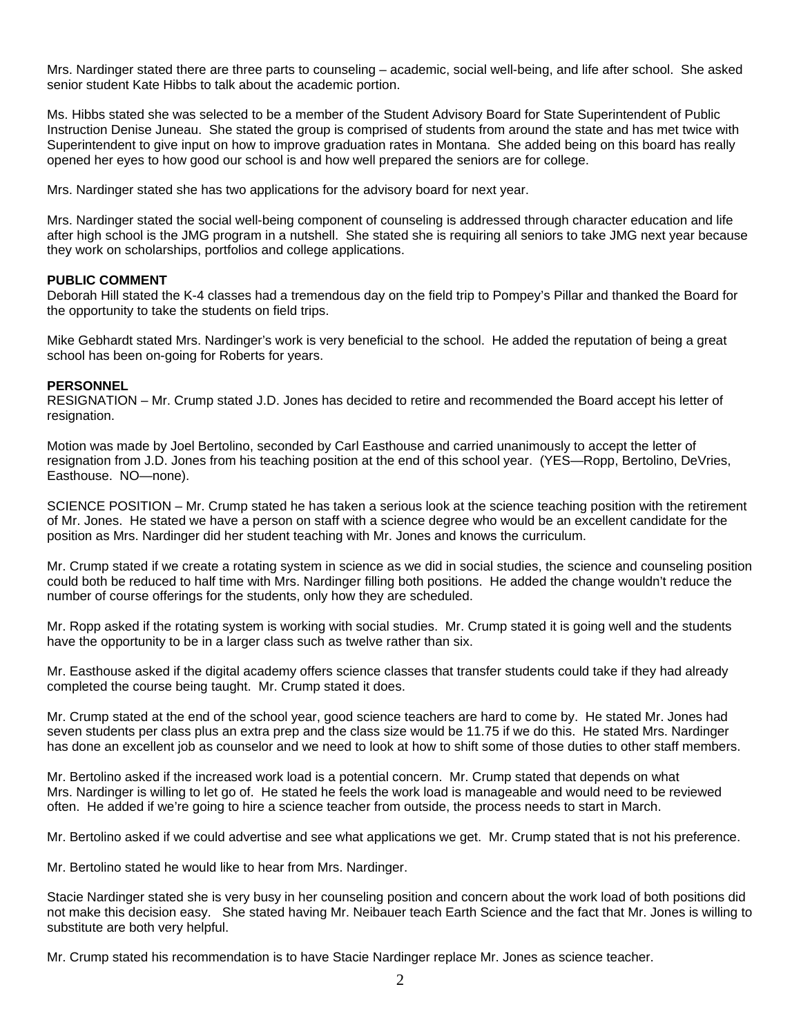Mrs. Nardinger stated there are three parts to counseling – academic, social well-being, and life after school. She asked senior student Kate Hibbs to talk about the academic portion.

Ms. Hibbs stated she was selected to be a member of the Student Advisory Board for State Superintendent of Public Instruction Denise Juneau. She stated the group is comprised of students from around the state and has met twice with Superintendent to give input on how to improve graduation rates in Montana. She added being on this board has really opened her eyes to how good our school is and how well prepared the seniors are for college.

Mrs. Nardinger stated she has two applications for the advisory board for next year.

Mrs. Nardinger stated the social well-being component of counseling is addressed through character education and life after high school is the JMG program in a nutshell. She stated she is requiring all seniors to take JMG next year because they work on scholarships, portfolios and college applications.

## **PUBLIC COMMENT**

Deborah Hill stated the K-4 classes had a tremendous day on the field trip to Pompey's Pillar and thanked the Board for the opportunity to take the students on field trips.

Mike Gebhardt stated Mrs. Nardinger's work is very beneficial to the school. He added the reputation of being a great school has been on-going for Roberts for years.

### **PERSONNEL**

RESIGNATION – Mr. Crump stated J.D. Jones has decided to retire and recommended the Board accept his letter of resignation.

Motion was made by Joel Bertolino, seconded by Carl Easthouse and carried unanimously to accept the letter of resignation from J.D. Jones from his teaching position at the end of this school year. (YES—Ropp, Bertolino, DeVries, Easthouse. NO—none).

SCIENCE POSITION – Mr. Crump stated he has taken a serious look at the science teaching position with the retirement of Mr. Jones. He stated we have a person on staff with a science degree who would be an excellent candidate for the position as Mrs. Nardinger did her student teaching with Mr. Jones and knows the curriculum.

Mr. Crump stated if we create a rotating system in science as we did in social studies, the science and counseling position could both be reduced to half time with Mrs. Nardinger filling both positions. He added the change wouldn't reduce the number of course offerings for the students, only how they are scheduled.

Mr. Ropp asked if the rotating system is working with social studies. Mr. Crump stated it is going well and the students have the opportunity to be in a larger class such as twelve rather than six.

Mr. Easthouse asked if the digital academy offers science classes that transfer students could take if they had already completed the course being taught. Mr. Crump stated it does.

Mr. Crump stated at the end of the school year, good science teachers are hard to come by. He stated Mr. Jones had seven students per class plus an extra prep and the class size would be 11.75 if we do this. He stated Mrs. Nardinger has done an excellent job as counselor and we need to look at how to shift some of those duties to other staff members.

Mr. Bertolino asked if the increased work load is a potential concern. Mr. Crump stated that depends on what Mrs. Nardinger is willing to let go of. He stated he feels the work load is manageable and would need to be reviewed often. He added if we're going to hire a science teacher from outside, the process needs to start in March.

Mr. Bertolino asked if we could advertise and see what applications we get. Mr. Crump stated that is not his preference.

Mr. Bertolino stated he would like to hear from Mrs. Nardinger.

Stacie Nardinger stated she is very busy in her counseling position and concern about the work load of both positions did not make this decision easy. She stated having Mr. Neibauer teach Earth Science and the fact that Mr. Jones is willing to substitute are both very helpful.

Mr. Crump stated his recommendation is to have Stacie Nardinger replace Mr. Jones as science teacher.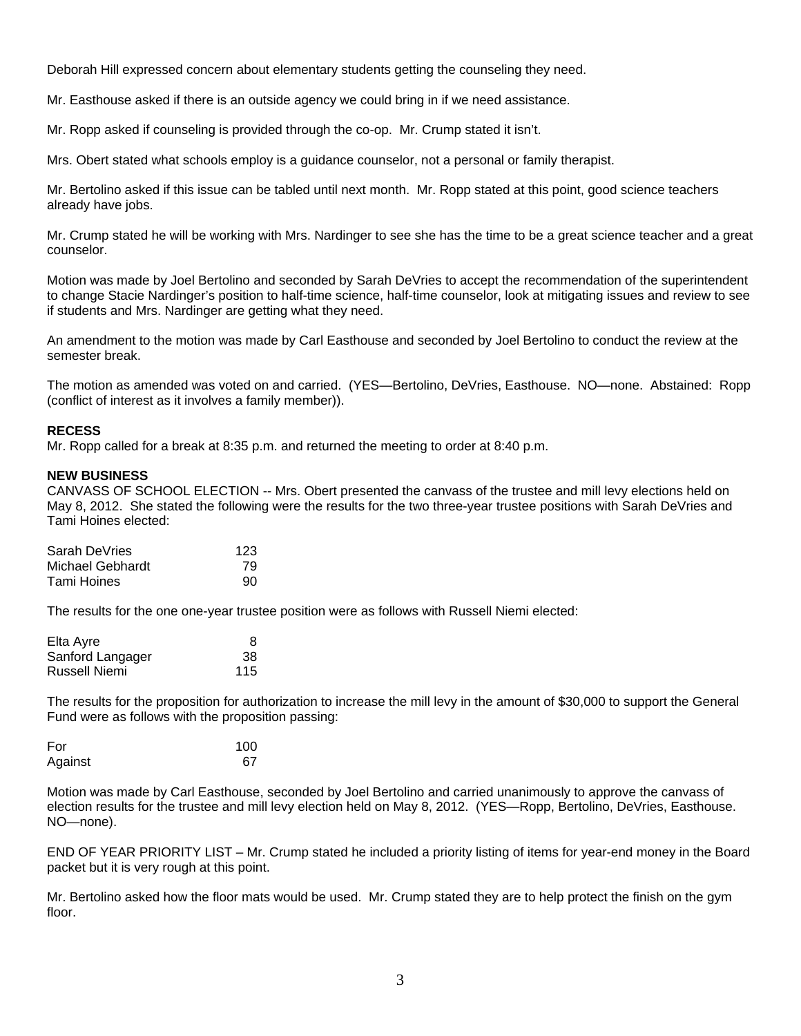Deborah Hill expressed concern about elementary students getting the counseling they need.

Mr. Easthouse asked if there is an outside agency we could bring in if we need assistance.

Mr. Ropp asked if counseling is provided through the co-op. Mr. Crump stated it isn't.

Mrs. Obert stated what schools employ is a guidance counselor, not a personal or family therapist.

Mr. Bertolino asked if this issue can be tabled until next month. Mr. Ropp stated at this point, good science teachers already have jobs.

Mr. Crump stated he will be working with Mrs. Nardinger to see she has the time to be a great science teacher and a great counselor.

Motion was made by Joel Bertolino and seconded by Sarah DeVries to accept the recommendation of the superintendent to change Stacie Nardinger's position to half-time science, half-time counselor, look at mitigating issues and review to see if students and Mrs. Nardinger are getting what they need.

An amendment to the motion was made by Carl Easthouse and seconded by Joel Bertolino to conduct the review at the semester break.

The motion as amended was voted on and carried. (YES—Bertolino, DeVries, Easthouse. NO—none. Abstained: Ropp (conflict of interest as it involves a family member)).

## **RECESS**

Mr. Ropp called for a break at 8:35 p.m. and returned the meeting to order at 8:40 p.m.

## **NEW BUSINESS**

CANVASS OF SCHOOL ELECTION -- Mrs. Obert presented the canvass of the trustee and mill levy elections held on May 8, 2012. She stated the following were the results for the two three-year trustee positions with Sarah DeVries and Tami Hoines elected:

| Sarah DeVries    | 123 |
|------------------|-----|
| Michael Gebhardt | 79  |
| Tami Hoines      | 90  |

The results for the one one-year trustee position were as follows with Russell Niemi elected:

| Elta Ayre            | 8   |
|----------------------|-----|
| Sanford Langager     | 38  |
| <b>Russell Niemi</b> | 115 |

The results for the proposition for authorization to increase the mill levy in the amount of \$30,000 to support the General Fund were as follows with the proposition passing:

| For     | 100 |
|---------|-----|
| Against | 67  |

Motion was made by Carl Easthouse, seconded by Joel Bertolino and carried unanimously to approve the canvass of election results for the trustee and mill levy election held on May 8, 2012. (YES—Ropp, Bertolino, DeVries, Easthouse. NO—none).

END OF YEAR PRIORITY LIST – Mr. Crump stated he included a priority listing of items for year-end money in the Board packet but it is very rough at this point.

Mr. Bertolino asked how the floor mats would be used. Mr. Crump stated they are to help protect the finish on the gym floor.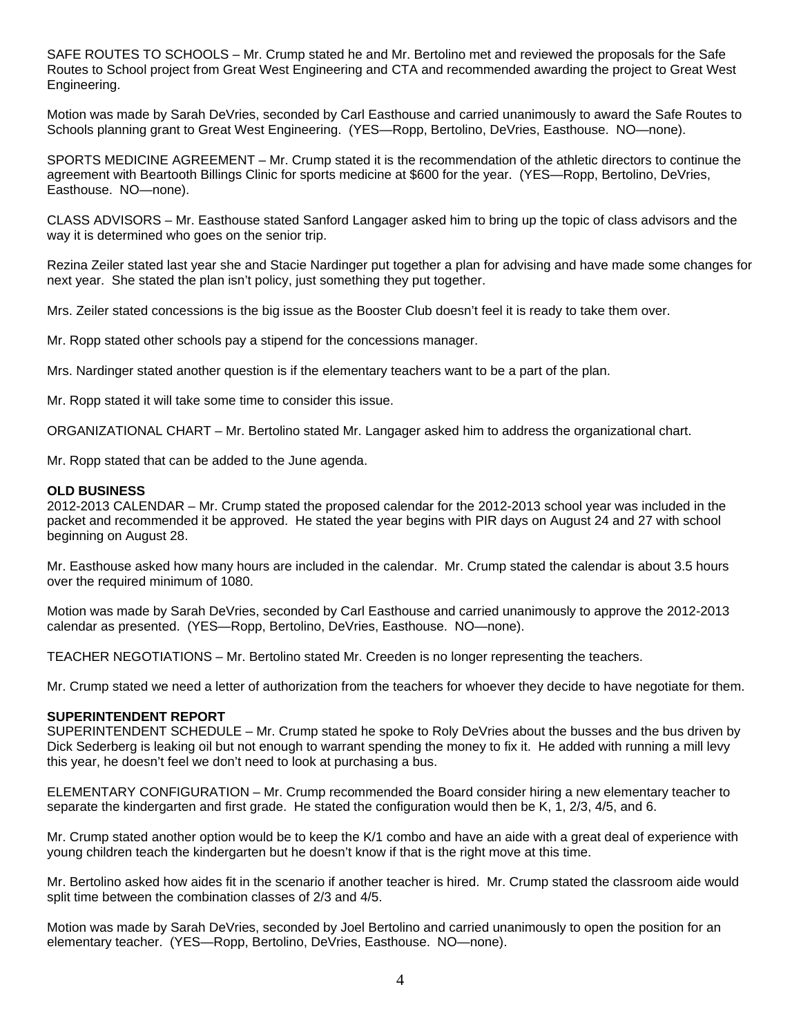SAFE ROUTES TO SCHOOLS – Mr. Crump stated he and Mr. Bertolino met and reviewed the proposals for the Safe Routes to School project from Great West Engineering and CTA and recommended awarding the project to Great West Engineering.

Motion was made by Sarah DeVries, seconded by Carl Easthouse and carried unanimously to award the Safe Routes to Schools planning grant to Great West Engineering. (YES—Ropp, Bertolino, DeVries, Easthouse. NO—none).

SPORTS MEDICINE AGREEMENT – Mr. Crump stated it is the recommendation of the athletic directors to continue the agreement with Beartooth Billings Clinic for sports medicine at \$600 for the year. (YES—Ropp, Bertolino, DeVries, Easthouse. NO—none).

CLASS ADVISORS – Mr. Easthouse stated Sanford Langager asked him to bring up the topic of class advisors and the way it is determined who goes on the senior trip.

Rezina Zeiler stated last year she and Stacie Nardinger put together a plan for advising and have made some changes for next year. She stated the plan isn't policy, just something they put together.

Mrs. Zeiler stated concessions is the big issue as the Booster Club doesn't feel it is ready to take them over.

Mr. Ropp stated other schools pay a stipend for the concessions manager.

Mrs. Nardinger stated another question is if the elementary teachers want to be a part of the plan.

Mr. Ropp stated it will take some time to consider this issue.

ORGANIZATIONAL CHART – Mr. Bertolino stated Mr. Langager asked him to address the organizational chart.

Mr. Ropp stated that can be added to the June agenda.

### **OLD BUSINESS**

2012-2013 CALENDAR – Mr. Crump stated the proposed calendar for the 2012-2013 school year was included in the packet and recommended it be approved. He stated the year begins with PIR days on August 24 and 27 with school beginning on August 28.

Mr. Easthouse asked how many hours are included in the calendar. Mr. Crump stated the calendar is about 3.5 hours over the required minimum of 1080.

Motion was made by Sarah DeVries, seconded by Carl Easthouse and carried unanimously to approve the 2012-2013 calendar as presented. (YES—Ropp, Bertolino, DeVries, Easthouse. NO—none).

TEACHER NEGOTIATIONS – Mr. Bertolino stated Mr. Creeden is no longer representing the teachers.

Mr. Crump stated we need a letter of authorization from the teachers for whoever they decide to have negotiate for them.

## **SUPERINTENDENT REPORT**

SUPERINTENDENT SCHEDULE – Mr. Crump stated he spoke to Roly DeVries about the busses and the bus driven by Dick Sederberg is leaking oil but not enough to warrant spending the money to fix it. He added with running a mill levy this year, he doesn't feel we don't need to look at purchasing a bus.

ELEMENTARY CONFIGURATION – Mr. Crump recommended the Board consider hiring a new elementary teacher to separate the kindergarten and first grade. He stated the configuration would then be K, 1, 2/3, 4/5, and 6.

Mr. Crump stated another option would be to keep the K/1 combo and have an aide with a great deal of experience with young children teach the kindergarten but he doesn't know if that is the right move at this time.

Mr. Bertolino asked how aides fit in the scenario if another teacher is hired. Mr. Crump stated the classroom aide would split time between the combination classes of 2/3 and 4/5.

Motion was made by Sarah DeVries, seconded by Joel Bertolino and carried unanimously to open the position for an elementary teacher. (YES—Ropp, Bertolino, DeVries, Easthouse. NO—none).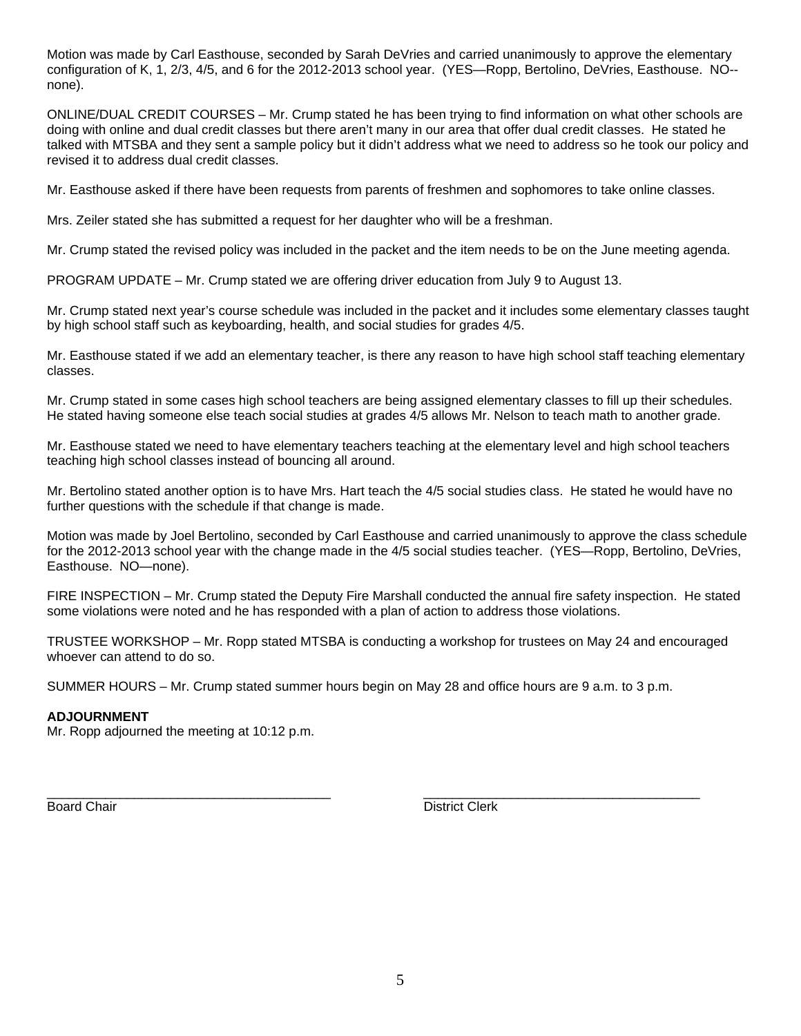Motion was made by Carl Easthouse, seconded by Sarah DeVries and carried unanimously to approve the elementary configuration of K, 1, 2/3, 4/5, and 6 for the 2012-2013 school year. (YES—Ropp, Bertolino, DeVries, Easthouse. NO- none).

ONLINE/DUAL CREDIT COURSES – Mr. Crump stated he has been trying to find information on what other schools are doing with online and dual credit classes but there aren't many in our area that offer dual credit classes. He stated he talked with MTSBA and they sent a sample policy but it didn't address what we need to address so he took our policy and revised it to address dual credit classes.

Mr. Easthouse asked if there have been requests from parents of freshmen and sophomores to take online classes.

Mrs. Zeiler stated she has submitted a request for her daughter who will be a freshman.

Mr. Crump stated the revised policy was included in the packet and the item needs to be on the June meeting agenda.

PROGRAM UPDATE – Mr. Crump stated we are offering driver education from July 9 to August 13.

Mr. Crump stated next year's course schedule was included in the packet and it includes some elementary classes taught by high school staff such as keyboarding, health, and social studies for grades 4/5.

Mr. Easthouse stated if we add an elementary teacher, is there any reason to have high school staff teaching elementary classes.

Mr. Crump stated in some cases high school teachers are being assigned elementary classes to fill up their schedules. He stated having someone else teach social studies at grades 4/5 allows Mr. Nelson to teach math to another grade.

Mr. Easthouse stated we need to have elementary teachers teaching at the elementary level and high school teachers teaching high school classes instead of bouncing all around.

Mr. Bertolino stated another option is to have Mrs. Hart teach the 4/5 social studies class. He stated he would have no further questions with the schedule if that change is made.

Motion was made by Joel Bertolino, seconded by Carl Easthouse and carried unanimously to approve the class schedule for the 2012-2013 school year with the change made in the 4/5 social studies teacher. (YES—Ropp, Bertolino, DeVries, Easthouse. NO—none).

FIRE INSPECTION – Mr. Crump stated the Deputy Fire Marshall conducted the annual fire safety inspection. He stated some violations were noted and he has responded with a plan of action to address those violations.

TRUSTEE WORKSHOP – Mr. Ropp stated MTSBA is conducting a workshop for trustees on May 24 and encouraged whoever can attend to do so.

SUMMER HOURS – Mr. Crump stated summer hours begin on May 28 and office hours are 9 a.m. to 3 p.m.

# **ADJOURNMENT**

Mr. Ropp adjourned the meeting at 10:12 p.m.

\_\_\_\_\_\_\_\_\_\_\_\_\_\_\_\_\_\_\_\_\_\_\_\_\_\_\_\_\_\_\_\_\_\_\_\_\_\_\_ \_\_\_\_\_\_\_\_\_\_\_\_\_\_\_\_\_\_\_\_\_\_\_\_\_\_\_\_\_\_\_\_\_\_\_\_\_\_ Board Chair **District Clerk**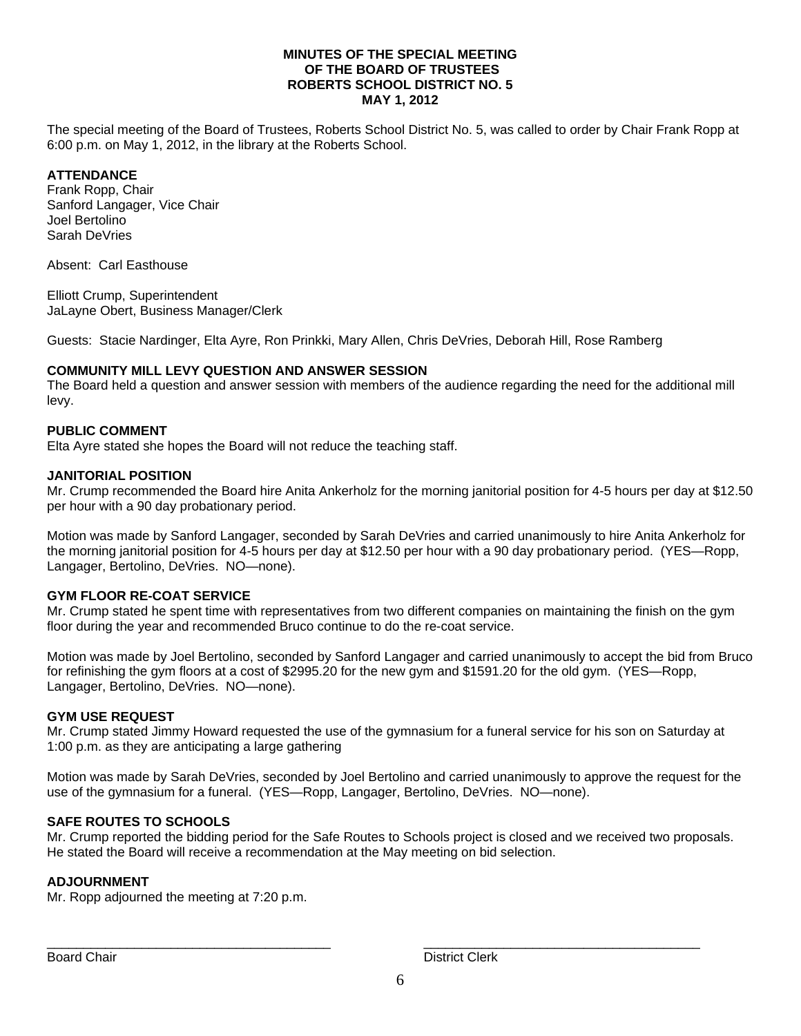## **MINUTES OF THE SPECIAL MEETING OF THE BOARD OF TRUSTEES ROBERTS SCHOOL DISTRICT NO. 5 MAY 1, 2012**

The special meeting of the Board of Trustees, Roberts School District No. 5, was called to order by Chair Frank Ropp at 6:00 p.m. on May 1, 2012, in the library at the Roberts School.

# **ATTENDANCE**

Frank Ropp, Chair Sanford Langager, Vice Chair Joel Bertolino Sarah DeVries

Absent: Carl Easthouse

Elliott Crump, Superintendent JaLayne Obert, Business Manager/Clerk

Guests: Stacie Nardinger, Elta Ayre, Ron Prinkki, Mary Allen, Chris DeVries, Deborah Hill, Rose Ramberg

# **COMMUNITY MILL LEVY QUESTION AND ANSWER SESSION**

The Board held a question and answer session with members of the audience regarding the need for the additional mill levy.

# **PUBLIC COMMENT**

Elta Ayre stated she hopes the Board will not reduce the teaching staff.

# **JANITORIAL POSITION**

Mr. Crump recommended the Board hire Anita Ankerholz for the morning janitorial position for 4-5 hours per day at \$12.50 per hour with a 90 day probationary period.

Motion was made by Sanford Langager, seconded by Sarah DeVries and carried unanimously to hire Anita Ankerholz for the morning janitorial position for 4-5 hours per day at \$12.50 per hour with a 90 day probationary period. (YES—Ropp, Langager, Bertolino, DeVries. NO—none).

## **GYM FLOOR RE-COAT SERVICE**

Mr. Crump stated he spent time with representatives from two different companies on maintaining the finish on the gym floor during the year and recommended Bruco continue to do the re-coat service.

Motion was made by Joel Bertolino, seconded by Sanford Langager and carried unanimously to accept the bid from Bruco for refinishing the gym floors at a cost of \$2995.20 for the new gym and \$1591.20 for the old gym. (YES—Ropp, Langager, Bertolino, DeVries. NO—none).

## **GYM USE REQUEST**

Mr. Crump stated Jimmy Howard requested the use of the gymnasium for a funeral service for his son on Saturday at 1:00 p.m. as they are anticipating a large gathering

Motion was made by Sarah DeVries, seconded by Joel Bertolino and carried unanimously to approve the request for the use of the gymnasium for a funeral. (YES—Ropp, Langager, Bertolino, DeVries. NO—none).

# **SAFE ROUTES TO SCHOOLS**

Mr. Crump reported the bidding period for the Safe Routes to Schools project is closed and we received two proposals. He stated the Board will receive a recommendation at the May meeting on bid selection.

## **ADJOURNMENT**

Mr. Ropp adjourned the meeting at 7:20 p.m.

Board Chair **District Clerk Board Chair District Clerk** 

\_\_\_\_\_\_\_\_\_\_\_\_\_\_\_\_\_\_\_\_\_\_\_\_\_\_\_\_\_\_\_\_\_\_\_\_\_\_\_ \_\_\_\_\_\_\_\_\_\_\_\_\_\_\_\_\_\_\_\_\_\_\_\_\_\_\_\_\_\_\_\_\_\_\_\_\_\_